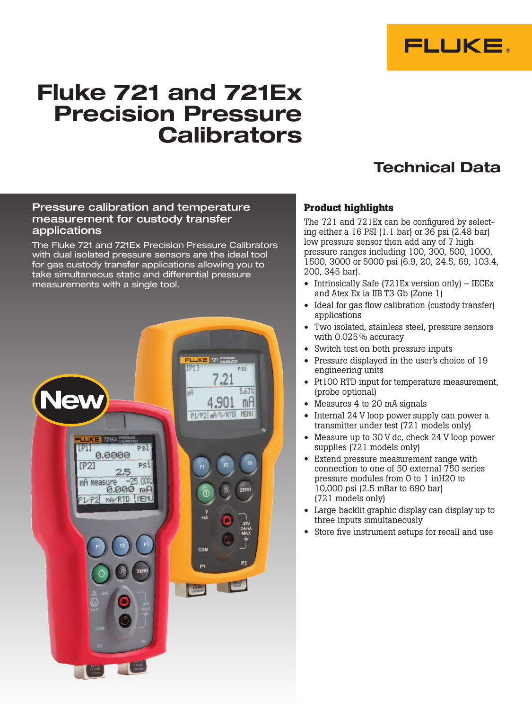

# Fluke 721 and 721Ex Precision Pressure **Calibrators**

## Technical Data

### Pressure calibration and temperature measurement for custody transfer applications

The Fluke 721 and 721Ex Precision Pressure Calibrators with dual isolated pressure sensors are the ideal tool for gas custody transfer applications allowing you to take simultaneous static and differential pressure measurements with a single tool.



## **Product highlights**

The 721 and 721Ex can be configured by selecting either a 16 PSI (1.1 bar) or 36 psi (2.48 bar) low pressure sensor then add any of 7 high pressure ranges including 100, 300, 500, 1000, 1500, 3000 or 5000 psi (6.9, 20, 24.5, 69, 103.4, 200, 345 bar).

- Intrinsically Safe (721Ex version only) IECEx and Atex Ex ia IIB T3 Gb (Zone 1)
- Ideal for gas flow calibration (custody transfer) applications
- Two isolated, stainless steel, pressure sensors with 0.025% accuracy
- Switch test on both pressure inputs
- Pressure displayed in the user's choice of 19 engineering units
- Pt100 RTD input for temperature measurement, (probe optional)
- Measures 4 to 20 mA signals
- Internal 24 V loop power supply can power a transmitter under test (721 models only)
- Measure up to 30 V dc, check 24 V loop power supplies (721 models only)
- Extend pressure measurement range with connection to one of 50 external 750 series pressure modules from 0 to 1 inH20 to 10,000 psi (2.5 mBar to 690 bar) (721 models only)
- Large backlit graphic display can display up to three inputs simultaneously
- Store five instrument setups for recall and use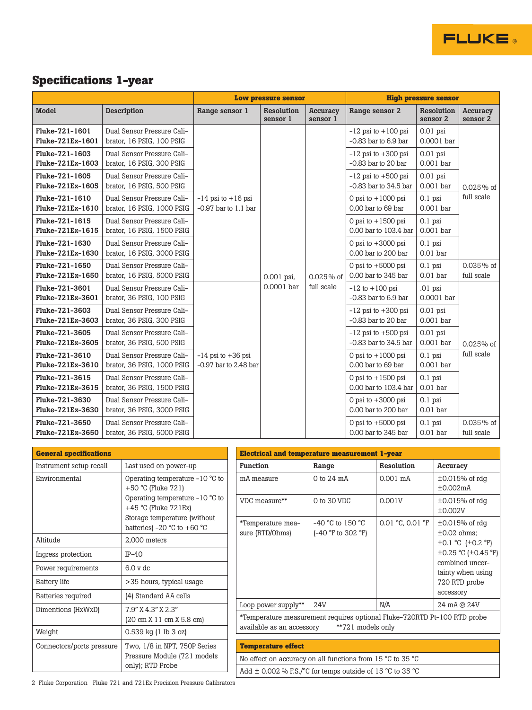

|                                    |                                                          | <b>Low pressure sensor</b>                         |                          |                             | <b>High pressure sensor</b>                          |                           |                             |
|------------------------------------|----------------------------------------------------------|----------------------------------------------------|--------------------------|-----------------------------|------------------------------------------------------|---------------------------|-----------------------------|
| <b>Model</b>                       | <b>Description</b>                                       | Range sensor 1                                     | Resolution<br>sensor 1   | <b>Accuracy</b><br>sensor 1 | Range sensor 2                                       | Resolution<br>sensor 2    | <b>Accuracy</b><br>sensor 2 |
| Fluke-721-1601<br>Fluke-721Ex-1601 | Dual Sensor Pressure Cali-<br>brator, 16 PSIG, 100 PSIG  |                                                    | 0.001 psi,<br>0.0001 bar | $0.025\%$ of<br>full scale  | $-12$ psi to $+100$ psi<br>$-0.83$ bar to $6.9$ bar  | $0.01$ psi<br>0.0001 bar  | $0.025%$ of<br>full scale   |
| Fluke-721-1603<br>Fluke-721Ex-1603 | Dual Sensor Pressure Cali-<br>brator, 16 PSIG, 300 PSIG  |                                                    |                          |                             | $-12$ psi to $+300$ psi<br>$-0.83$ bar to 20 bar     | $0.01$ psi<br>0.001 bar   |                             |
| Fluke-721-1605<br>Fluke-721Ex-1605 | Dual Sensor Pressure Cali-<br>brator, 16 PSIG, 500 PSIG  |                                                    |                          |                             | $-12$ psi to $+500$ psi<br>$-0.83$ bar to $34.5$ bar | $0.01$ psi<br>$0.001$ bar |                             |
| Fluke-721-1610<br>Fluke-721Ex-1610 | Dual Sensor Pressure Cali-<br>brator, 16 PSIG, 1000 PSIG | $-14$ psi to $+16$ psi<br>$-0.97$ bar to $1.1$ bar |                          |                             | 0 psi to $+1000$ psi<br>0.00 bar to 69 bar           | $0.1$ psi<br>0.001 bar    |                             |
| Fluke-721-1615<br>Fluke-721Ex-1615 | Dual Sensor Pressure Cali-<br>brator, 16 PSIG, 1500 PSIG |                                                    |                          |                             | 0 psi to $+1500$ psi<br>0.00 bar to 103.4 bar        | $0.1$ psi<br>0.001 bar    |                             |
| Fluke-721-1630<br>Fluke-721Ex-1630 | Dual Sensor Pressure Cali-<br>brator, 16 PSIG, 3000 PSIG |                                                    |                          |                             | 0 psi to $+3000$ psi<br>0.00 bar to 200 bar          | $0.1$ psi<br>$0.01$ bar   |                             |
| Fluke-721-1650<br>Fluke-721Ex-1650 | Dual Sensor Pressure Cali-<br>brator, 16 PSIG, 5000 PSIG |                                                    |                          |                             | 0 psi to $+5000$ psi<br>0.00 bar to 345 bar          | $0.1$ psi<br>$0.01$ bar   | $0.035\%$ of<br>full scale  |
| Fluke-721-3601<br>Fluke-721Ex-3601 | Dual Sensor Pressure Cali-<br>brator, 36 PSIG, 100 PSIG  | $-14$ psi to $+36$ psi<br>$-0.97$ bar to 2.48 bar  |                          |                             | $-12$ to $+100$ psi<br>$-0.83$ bar to $6.9$ bar      | .01 psi<br>0.0001 bar     | 0.025% of                   |
| Fluke-721-3603<br>Fluke-721Ex-3603 | Dual Sensor Pressure Cali-<br>brator, 36 PSIG, 300 PSIG  |                                                    |                          |                             | $-12$ psi to $+300$ psi<br>$-0.83$ bar to 20 bar     | $0.01$ psi<br>0.001 bar   |                             |
| Fluke-721-3605<br>Fluke-721Ex-3605 | Dual Sensor Pressure Cali-<br>brator, 36 PSIG, 500 PSIG  |                                                    |                          |                             | $-12$ psi to $+500$ psi<br>$-0.83$ bar to $34.5$ bar | $0.01$ psi<br>0.001 bar   |                             |
| Fluke-721-3610<br>Fluke-721Ex-3610 | Dual Sensor Pressure Cali-<br>brator, 36 PSIG, 1000 PSIG |                                                    |                          |                             | 0 psi to $+1000$ psi<br>0.00 bar to 69 bar           | $0.1$ psi<br>0.001 bar    | full scale                  |
| Fluke-721-3615<br>Fluke-721Ex-3615 | Dual Sensor Pressure Cali-<br>brator, 36 PSIG, 1500 PSIG |                                                    |                          |                             | 0 psi to $+1500$ psi<br>0.00 bar to 103.4 bar        | $0.1$ psi<br>$0.01$ bar   |                             |
| Fluke-721-3630<br>Fluke-721Ex-3630 | Dual Sensor Pressure Cali-<br>brator, 36 PSIG, 3000 PSIG |                                                    |                          |                             | 0 psi to $+3000$ psi<br>0.00 bar to 200 bar          | $0.1$ psi<br>$0.01$ bar   |                             |
| Fluke-721-3650<br>Fluke-721Ex-3650 | Dual Sensor Pressure Cali-<br>brator, 36 PSIG, 5000 PSIG |                                                    |                          |                             | 0 psi to $+5000$ psi<br>0.00 bar to 345 bar          | $0.1$ psi<br>$0.01$ bar   | $0.035\%$ of<br>full scale  |

**FLUKE** 

| <b>General specifications</b>                             |                                                                | <b>Electrical and temperature measurement 1-year</b>                         |                                                                                                                            |                  |                                          |  |  |
|-----------------------------------------------------------|----------------------------------------------------------------|------------------------------------------------------------------------------|----------------------------------------------------------------------------------------------------------------------------|------------------|------------------------------------------|--|--|
| Instrument setup recall                                   | Last used on power-up                                          | <b>Function</b>                                                              | Range                                                                                                                      | Resolution       | Accuracy                                 |  |  |
| Environmental                                             | Operating temperature $-10$ °C to<br>+50 °C (Fluke $721$ )     | mA measure                                                                   | $0$ to $24$ mA                                                                                                             | $0.001$ mA       | $\pm 0.015\%$ of rdg<br>±0.002mA         |  |  |
|                                                           | Operating temperature $-10$ °C to<br>$+45$ °C (Fluke $721Ex$ ) | VDC measure**                                                                | $0$ to $30$ VDC                                                                                                            | 0.001V           | $\pm 0.015\%$ of rdg<br>±0.002V          |  |  |
|                                                           | Storage temperature (without<br>batteries) -20 °C to +60 °C    | *Temperature mea-<br>sure (RTD/Ohms)                                         | $-40$ °C to 150 °C<br>$(-40 °F)$ to 302 $°F)$                                                                              | 0.01 °C, 0.01 °F | $\pm 0.015\%$ of rdg<br>$\pm 0.02$ ohms; |  |  |
| Altitude                                                  | 2,000 meters                                                   |                                                                              |                                                                                                                            |                  | $\pm 0.1$ °C ( $\pm 0.2$ °F)             |  |  |
| Ingress protection                                        | $IP-40$                                                        |                                                                              |                                                                                                                            |                  | ±0.25 °C (±0.45 °F)                      |  |  |
| Power requirements                                        | 6.0 v dc                                                       |                                                                              |                                                                                                                            |                  | combined uncer-<br>tainty when using     |  |  |
| <b>Battery</b> life                                       | >35 hours, typical usage                                       |                                                                              |                                                                                                                            |                  | 720 RTD probe                            |  |  |
| Batteries required                                        | (4) Standard AA cells                                          |                                                                              |                                                                                                                            |                  | accessory                                |  |  |
| Dimentions (HxWxD)                                        | 7.9" X 4.3" X 2.3"                                             | Loop power supply**                                                          | 24V                                                                                                                        | N/A              | 24 mA @ 24V                              |  |  |
|                                                           | $(20 \text{ cm X } 11 \text{ cm X } 5.8 \text{ cm})$           |                                                                              | *Temperature measurement requires optional Fluke-720RTD Pt-100 RTD probe<br>**721 models only<br>available as an accessory |                  |                                          |  |  |
| Weight                                                    | 0.539 kg (1 lb 3 oz)                                           |                                                                              |                                                                                                                            |                  |                                          |  |  |
| Two, 1/8 in NPT, 750P Series<br>Connectors/ports pressure |                                                                | <b>Temperature effect</b>                                                    |                                                                                                                            |                  |                                          |  |  |
|                                                           | Pressure Module (721 models)                                   | No effect on accuracy on all functions from 15 $\degree$ C to 35 $\degree$ C |                                                                                                                            |                  |                                          |  |  |
|                                                           | only); RTD Probe                                               | Add $\pm$ 0.002 % F.S./°C for temps outside of 15 °C to 35 °C                |                                                                                                                            |                  |                                          |  |  |

2 Fluke Corporation Fluke 721 and 721Ex Precision Pressure Calibrators